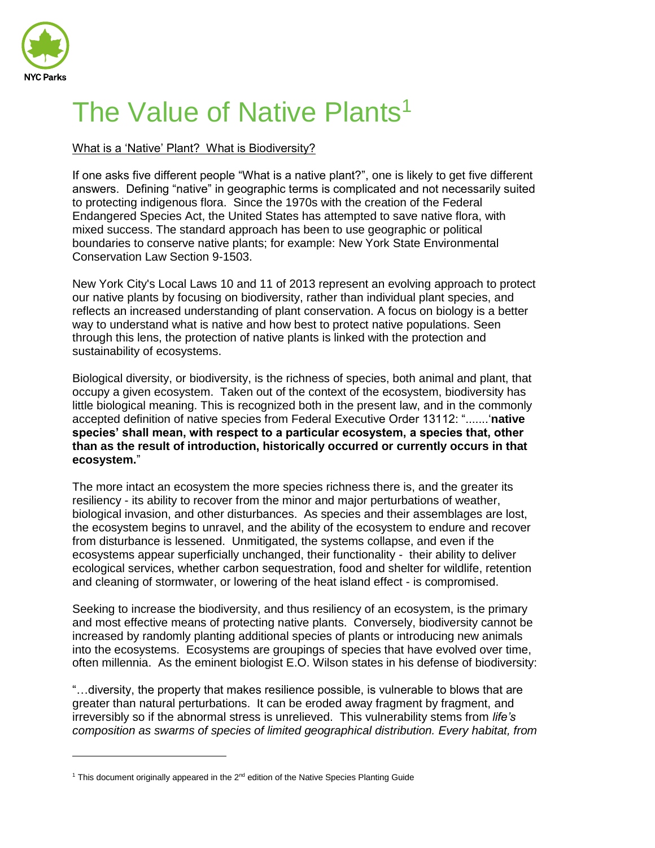

 $\overline{a}$ 

# The Value of Native Plants<sup>1</sup>

## What is a 'Native' Plant? What is Biodiversity?

If one asks five different people "What is a native plant?", one is likely to get five different answers. Defining "native" in geographic terms is complicated and not necessarily suited to protecting indigenous flora. Since the 1970s with the creation of the Federal Endangered Species Act, the United States has attempted to save native flora, with mixed success. The standard approach has been to use geographic or political boundaries to conserve native plants; for example: New York State Environmental Conservation Law Section 9-1503.

New York City's Local Laws 10 and 11 of 2013 represent an evolving approach to protect our native plants by focusing on biodiversity, rather than individual plant species, and reflects an increased understanding of plant conservation. A focus on biology is a better way to understand what is native and how best to protect native populations. Seen through this lens, the protection of native plants is linked with the protection and sustainability of ecosystems.

Biological diversity, or biodiversity, is the richness of species, both animal and plant, that occupy a given ecosystem. Taken out of the context of the ecosystem, biodiversity has little biological meaning. This is recognized both in the present law, and in the commonly accepted definition of native species from Federal Executive Order 13112: ".......'**native species' shall mean, with respect to a particular ecosystem, a species that, other than as the result of introduction, historically occurred or currently occurs in that ecosystem.**"

The more intact an ecosystem the more species richness there is, and the greater its resiliency - its ability to recover from the minor and major perturbations of weather, biological invasion, and other disturbances. As species and their assemblages are lost, the ecosystem begins to unravel, and the ability of the ecosystem to endure and recover from disturbance is lessened. Unmitigated, the systems collapse, and even if the ecosystems appear superficially unchanged, their functionality - their ability to deliver ecological services, whether carbon sequestration, food and shelter for wildlife, retention and cleaning of stormwater, or lowering of the heat island effect - is compromised.

Seeking to increase the biodiversity, and thus resiliency of an ecosystem, is the primary and most effective means of protecting native plants. Conversely, biodiversity cannot be increased by randomly planting additional species of plants or introducing new animals into the ecosystems. Ecosystems are groupings of species that have evolved over time, often millennia. As the eminent biologist E.O. Wilson states in his defense of biodiversity:

"…diversity, the property that makes resilience possible, is vulnerable to blows that are greater than natural perturbations. It can be eroded away fragment by fragment, and irreversibly so if the abnormal stress is unrelieved. This vulnerability stems from *life's composition as swarms of species of limited geographical distribution. Every habitat, from* 

<sup>&</sup>lt;sup>1</sup> This document originally appeared in the  $2<sup>nd</sup>$  edition of the Native Species Planting Guide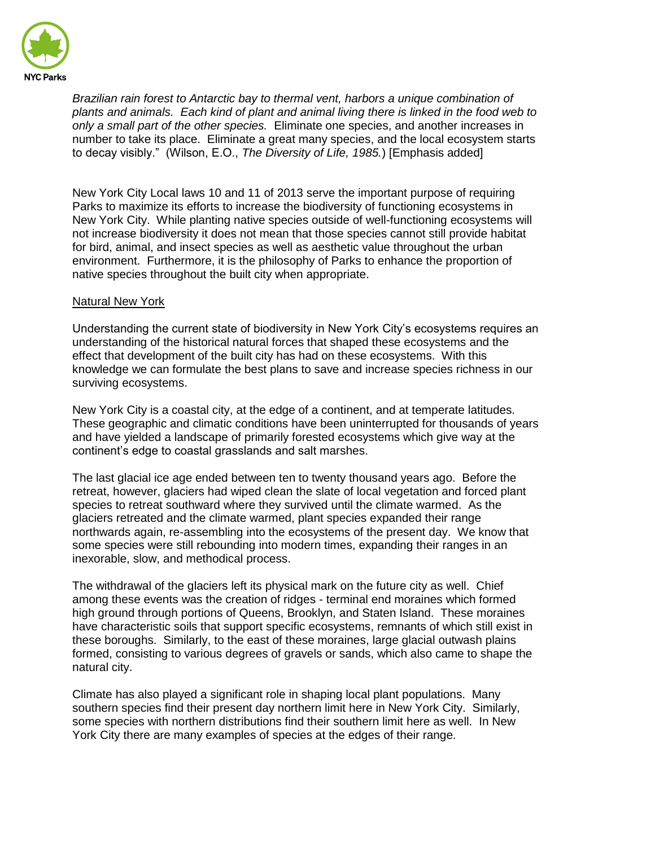

*Brazilian rain forest to Antarctic bay to thermal vent, harbors a unique combination of plants and animals. Each kind of plant and animal living there is linked in the food web to only a small part of the other species.* Eliminate one species, and another increases in number to take its place. Eliminate a great many species, and the local ecosystem starts to decay visibly." (Wilson, E.O., *The Diversity of Life, 1985.*) [Emphasis added]

New York City Local laws 10 and 11 of 2013 serve the important purpose of requiring Parks to maximize its efforts to increase the biodiversity of functioning ecosystems in New York City. While planting native species outside of well-functioning ecosystems will not increase biodiversity it does not mean that those species cannot still provide habitat for bird, animal, and insect species as well as aesthetic value throughout the urban environment. Furthermore, it is the philosophy of Parks to enhance the proportion of native species throughout the built city when appropriate.

### Natural New York

Understanding the current state of biodiversity in New York City's ecosystems requires an understanding of the historical natural forces that shaped these ecosystems and the effect that development of the built city has had on these ecosystems. With this knowledge we can formulate the best plans to save and increase species richness in our surviving ecosystems.

New York City is a coastal city, at the edge of a continent, and at temperate latitudes. These geographic and climatic conditions have been uninterrupted for thousands of years and have yielded a landscape of primarily forested ecosystems which give way at the continent's edge to coastal grasslands and salt marshes.

The last glacial ice age ended between ten to twenty thousand years ago. Before the retreat, however, glaciers had wiped clean the slate of local vegetation and forced plant species to retreat southward where they survived until the climate warmed. As the glaciers retreated and the climate warmed, plant species expanded their range northwards again, re-assembling into the ecosystems of the present day. We know that some species were still rebounding into modern times, expanding their ranges in an inexorable, slow, and methodical process.

The withdrawal of the glaciers left its physical mark on the future city as well. Chief among these events was the creation of ridges - terminal end moraines which formed high ground through portions of Queens, Brooklyn, and Staten Island. These moraines have characteristic soils that support specific ecosystems, remnants of which still exist in these boroughs. Similarly, to the east of these moraines, large glacial outwash plains formed, consisting to various degrees of gravels or sands, which also came to shape the natural city.

Climate has also played a significant role in shaping local plant populations. Many southern species find their present day northern limit here in New York City. Similarly, some species with northern distributions find their southern limit here as well. In New York City there are many examples of species at the edges of their range.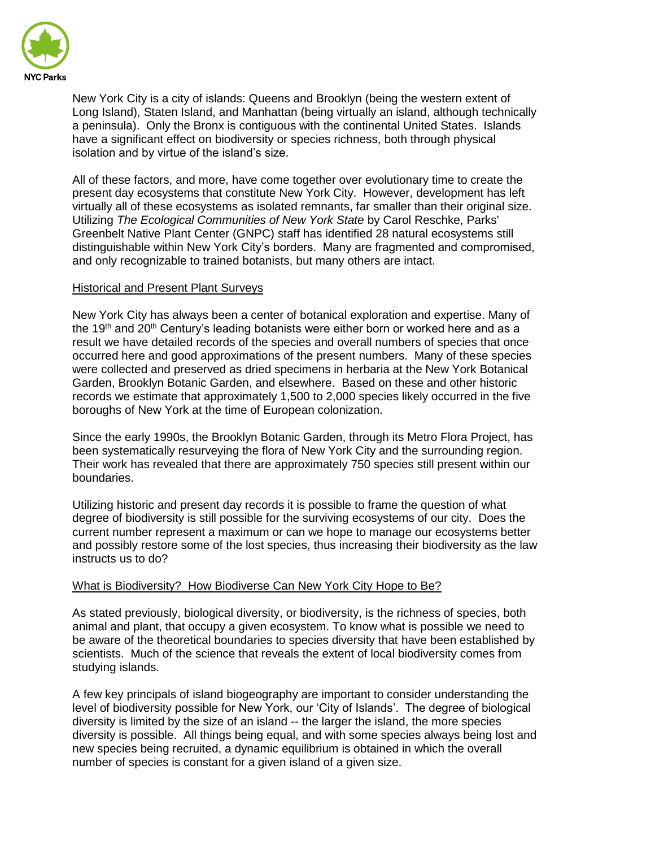

New York City is a city of islands: Queens and Brooklyn (being the western extent of Long Island), Staten Island, and Manhattan (being virtually an island, although technically a peninsula). Only the Bronx is contiguous with the continental United States. Islands have a significant effect on biodiversity or species richness, both through physical isolation and by virtue of the island's size.

All of these factors, and more, have come together over evolutionary time to create the present day ecosystems that constitute New York City. However, development has left virtually all of these ecosystems as isolated remnants, far smaller than their original size. Utilizing *The Ecological Communities of New York State* by Carol Reschke, Parks' Greenbelt Native Plant Center (GNPC) staff has identified 28 natural ecosystems still distinguishable within New York City's borders. Many are fragmented and compromised, and only recognizable to trained botanists, but many others are intact.

## Historical and Present Plant Surveys

New York City has always been a center of botanical exploration and expertise. Many of the 19<sup>th</sup> and 20<sup>th</sup> Century's leading botanists were either born or worked here and as a result we have detailed records of the species and overall numbers of species that once occurred here and good approximations of the present numbers. Many of these species were collected and preserved as dried specimens in herbaria at the New York Botanical Garden, Brooklyn Botanic Garden, and elsewhere. Based on these and other historic records we estimate that approximately 1,500 to 2,000 species likely occurred in the five boroughs of New York at the time of European colonization.

Since the early 1990s, the Brooklyn Botanic Garden, through its Metro Flora Project, has been systematically resurveying the flora of New York City and the surrounding region. Their work has revealed that there are approximately 750 species still present within our boundaries.

Utilizing historic and present day records it is possible to frame the question of what degree of biodiversity is still possible for the surviving ecosystems of our city. Does the current number represent a maximum or can we hope to manage our ecosystems better and possibly restore some of the lost species, thus increasing their biodiversity as the law instructs us to do?

# What is Biodiversity? How Biodiverse Can New York City Hope to Be?

As stated previously, biological diversity, or biodiversity, is the richness of species, both animal and plant, that occupy a given ecosystem. To know what is possible we need to be aware of the theoretical boundaries to species diversity that have been established by scientists. Much of the science that reveals the extent of local biodiversity comes from studying islands.

A few key principals of island biogeography are important to consider understanding the level of biodiversity possible for New York, our 'City of Islands'. The degree of biological diversity is limited by the size of an island -- the larger the island, the more species diversity is possible. All things being equal, and with some species always being lost and new species being recruited, a dynamic equilibrium is obtained in which the overall number of species is constant for a given island of a given size.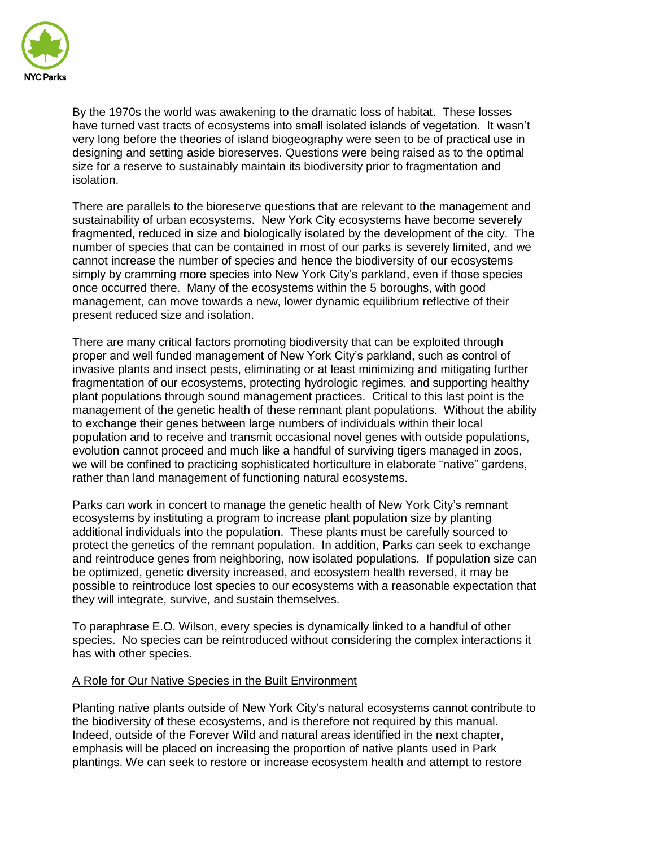

By the 1970s the world was awakening to the dramatic loss of habitat. These losses have turned vast tracts of ecosystems into small isolated islands of vegetation. It wasn't very long before the theories of island biogeography were seen to be of practical use in designing and setting aside bioreserves. Questions were being raised as to the optimal size for a reserve to sustainably maintain its biodiversity prior to fragmentation and isolation.

There are parallels to the bioreserve questions that are relevant to the management and sustainability of urban ecosystems. New York City ecosystems have become severely fragmented, reduced in size and biologically isolated by the development of the city. The number of species that can be contained in most of our parks is severely limited, and we cannot increase the number of species and hence the biodiversity of our ecosystems simply by cramming more species into New York City's parkland, even if those species once occurred there. Many of the ecosystems within the 5 boroughs, with good management, can move towards a new, lower dynamic equilibrium reflective of their present reduced size and isolation.

There are many critical factors promoting biodiversity that can be exploited through proper and well funded management of New York City's parkland, such as control of invasive plants and insect pests, eliminating or at least minimizing and mitigating further fragmentation of our ecosystems, protecting hydrologic regimes, and supporting healthy plant populations through sound management practices. Critical to this last point is the management of the genetic health of these remnant plant populations. Without the ability to exchange their genes between large numbers of individuals within their local population and to receive and transmit occasional novel genes with outside populations, evolution cannot proceed and much like a handful of surviving tigers managed in zoos, we will be confined to practicing sophisticated horticulture in elaborate "native" gardens, rather than land management of functioning natural ecosystems.

Parks can work in concert to manage the genetic health of New York City's remnant ecosystems by instituting a program to increase plant population size by planting additional individuals into the population. These plants must be carefully sourced to protect the genetics of the remnant population. In addition, Parks can seek to exchange and reintroduce genes from neighboring, now isolated populations. If population size can be optimized, genetic diversity increased, and ecosystem health reversed, it may be possible to reintroduce lost species to our ecosystems with a reasonable expectation that they will integrate, survive, and sustain themselves.

To paraphrase E.O. Wilson, every species is dynamically linked to a handful of other species. No species can be reintroduced without considering the complex interactions it has with other species.

### A Role for Our Native Species in the Built Environment

Planting native plants outside of New York City's natural ecosystems cannot contribute to the biodiversity of these ecosystems, and is therefore not required by this manual. Indeed, outside of the Forever Wild and natural areas identified in the next chapter, emphasis will be placed on increasing the proportion of native plants used in Park plantings. We can seek to restore or increase ecosystem health and attempt to restore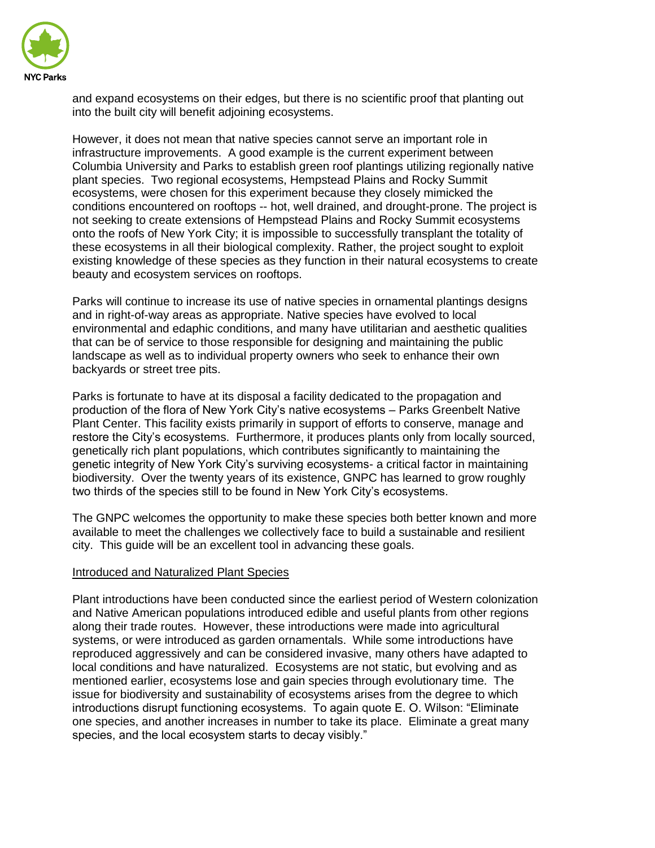

and expand ecosystems on their edges, but there is no scientific proof that planting out into the built city will benefit adjoining ecosystems.

However, it does not mean that native species cannot serve an important role in infrastructure improvements. A good example is the current experiment between Columbia University and Parks to establish green roof plantings utilizing regionally native plant species. Two regional ecosystems, Hempstead Plains and Rocky Summit ecosystems, were chosen for this experiment because they closely mimicked the conditions encountered on rooftops -- hot, well drained, and drought-prone. The project is not seeking to create extensions of Hempstead Plains and Rocky Summit ecosystems onto the roofs of New York City; it is impossible to successfully transplant the totality of these ecosystems in all their biological complexity. Rather, the project sought to exploit existing knowledge of these species as they function in their natural ecosystems to create beauty and ecosystem services on rooftops.

Parks will continue to increase its use of native species in ornamental plantings designs and in right-of-way areas as appropriate. Native species have evolved to local environmental and edaphic conditions, and many have utilitarian and aesthetic qualities that can be of service to those responsible for designing and maintaining the public landscape as well as to individual property owners who seek to enhance their own backyards or street tree pits.

Parks is fortunate to have at its disposal a facility dedicated to the propagation and production of the flora of New York City's native ecosystems – Parks Greenbelt Native Plant Center. This facility exists primarily in support of efforts to conserve, manage and restore the City's ecosystems. Furthermore, it produces plants only from locally sourced, genetically rich plant populations, which contributes significantly to maintaining the genetic integrity of New York City's surviving ecosystems- a critical factor in maintaining biodiversity. Over the twenty years of its existence, GNPC has learned to grow roughly two thirds of the species still to be found in New York City's ecosystems.

The GNPC welcomes the opportunity to make these species both better known and more available to meet the challenges we collectively face to build a sustainable and resilient city. This guide will be an excellent tool in advancing these goals.

### Introduced and Naturalized Plant Species

Plant introductions have been conducted since the earliest period of Western colonization and Native American populations introduced edible and useful plants from other regions along their trade routes. However, these introductions were made into agricultural systems, or were introduced as garden ornamentals. While some introductions have reproduced aggressively and can be considered invasive, many others have adapted to local conditions and have naturalized. Ecosystems are not static, but evolving and as mentioned earlier, ecosystems lose and gain species through evolutionary time. The issue for biodiversity and sustainability of ecosystems arises from the degree to which introductions disrupt functioning ecosystems. To again quote E. O. Wilson: "Eliminate one species, and another increases in number to take its place. Eliminate a great many species, and the local ecosystem starts to decay visibly."